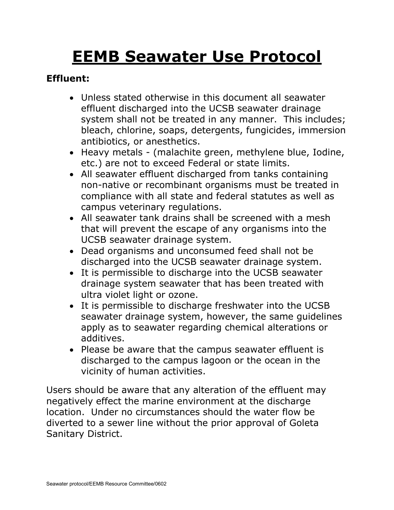# **EEMB Seawater Use Protocol**

# **Effluent:**

- Unless stated otherwise in this document all seawater effluent discharged into the UCSB seawater drainage system shall not be treated in any manner. This includes; bleach, chlorine, soaps, detergents, fungicides, immersion antibiotics, or anesthetics.
- Heavy metals (malachite green, methylene blue, Iodine, etc.) are not to exceed Federal or state limits.
- All seawater effluent discharged from tanks containing non-native or recombinant organisms must be treated in compliance with all state and federal statutes as well as campus veterinary regulations.
- All seawater tank drains shall be screened with a mesh that will prevent the escape of any organisms into the UCSB seawater drainage system.
- Dead organisms and unconsumed feed shall not be discharged into the UCSB seawater drainage system.
- It is permissible to discharge into the UCSB seawater drainage system seawater that has been treated with ultra violet light or ozone.
- It is permissible to discharge freshwater into the UCSB seawater drainage system, however, the same guidelines apply as to seawater regarding chemical alterations or additives.
- Please be aware that the campus seawater effluent is discharged to the campus lagoon or the ocean in the vicinity of human activities.

Users should be aware that any alteration of the effluent may negatively effect the marine environment at the discharge location. Under no circumstances should the water flow be diverted to a sewer line without the prior approval of Goleta Sanitary District.